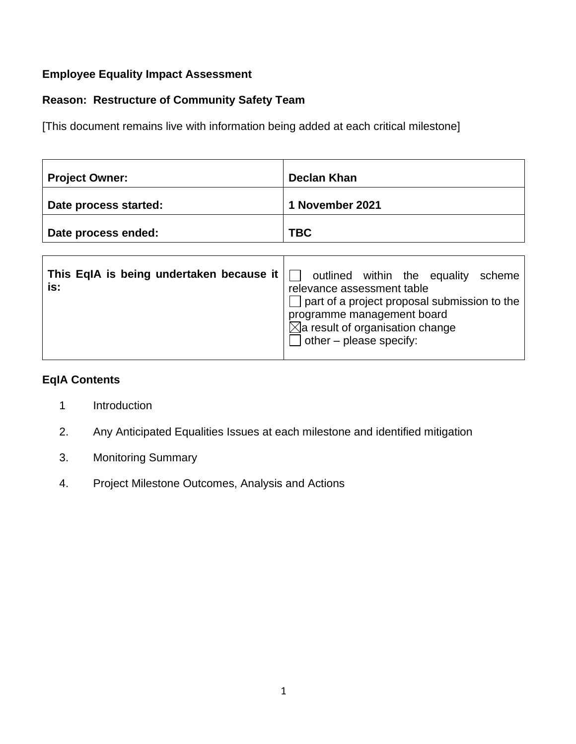### **Employee Equality Impact Assessment**

## **Reason: Restructure of Community Safety Team**

[This document remains live with information being added at each critical milestone]

| <b>Project Owner:</b> | Declan Khan     |
|-----------------------|-----------------|
| Date process started: | 1 November 2021 |
| Date process ended:   | <b>TBC</b>      |

| This EqIA is being undertaken because it<br>is: | outlined within the equality<br>scheme<br>relevance assessment table<br>$\Box$ part of a project proposal submission to the<br>programme management board<br>$\boxtimes$ a result of organisation change<br>other – please specify: |
|-------------------------------------------------|-------------------------------------------------------------------------------------------------------------------------------------------------------------------------------------------------------------------------------------|
|                                                 |                                                                                                                                                                                                                                     |

 $\top$ 

 $\overline{\mathsf{I}}$ 

### **EqIA Contents**

- 1 Introduction
- 2. Any Anticipated Equalities Issues at each milestone and identified mitigation
- 3. Monitoring Summary
- 4. Project Milestone Outcomes, Analysis and Actions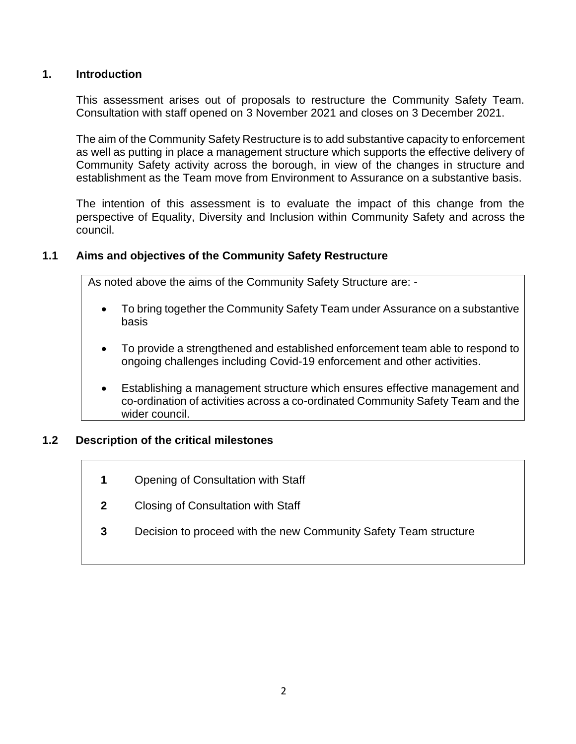#### **1. Introduction**

This assessment arises out of proposals to restructure the Community Safety Team. Consultation with staff opened on 3 November 2021 and closes on 3 December 2021.

The aim of the Community Safety Restructure is to add substantive capacity to enforcement as well as putting in place a management structure which supports the effective delivery of Community Safety activity across the borough, in view of the changes in structure and establishment as the Team move from Environment to Assurance on a substantive basis.

The intention of this assessment is to evaluate the impact of this change from the perspective of Equality, Diversity and Inclusion within Community Safety and across the council.

### **1.1 Aims and objectives of the Community Safety Restructure**

As noted above the aims of the Community Safety Structure are: -

- To bring together the Community Safety Team under Assurance on a substantive basis
- To provide a strengthened and established enforcement team able to respond to ongoing challenges including Covid-19 enforcement and other activities.
- Establishing a management structure which ensures effective management and co-ordination of activities across a co-ordinated Community Safety Team and the wider council.

#### **1.2 Description of the critical milestones**

- **1** Opening of Consultation with Staff
- **2** Closing of Consultation with Staff
- **3** Decision to proceed with the new Community Safety Team structure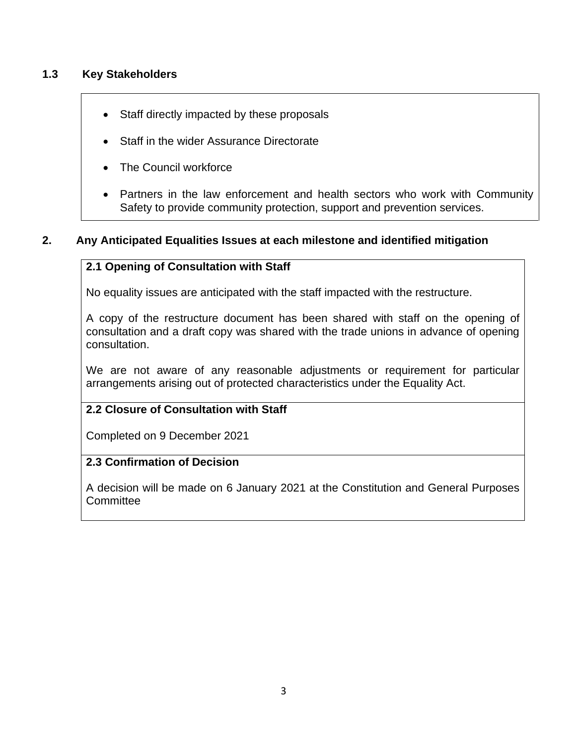### **1.3 Key Stakeholders**

- Staff directly impacted by these proposals
- Staff in the wider Assurance Directorate
- The Council workforce
- Partners in the law enforcement and health sectors who work with Community Safety to provide community protection, support and prevention services.

### **2. Any Anticipated Equalities Issues at each milestone and identified mitigation**

### **2.1 Opening of Consultation with Staff**

No equality issues are anticipated with the staff impacted with the restructure.

A copy of the restructure document has been shared with staff on the opening of consultation and a draft copy was shared with the trade unions in advance of opening consultation.

We are not aware of any reasonable adjustments or requirement for particular arrangements arising out of protected characteristics under the Equality Act.

### **2.2 Closure of Consultation with Staff**

Completed on 9 December 2021

### **2.3 Confirmation of Decision**

A decision will be made on 6 January 2021 at the Constitution and General Purposes **Committee**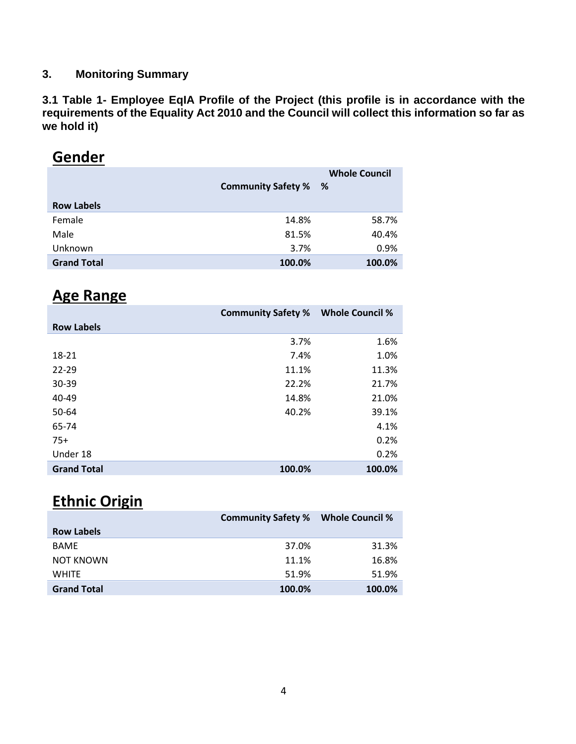### **3. Monitoring Summary**

**3.1 Table 1- Employee EqIA Profile of the Project (this profile is in accordance with the requirements of the Equality Act 2010 and the Council will collect this information so far as we hold it)**

# **Gender**

|                    | <b>Community Safety %</b> | <b>Whole Council</b><br>% |
|--------------------|---------------------------|---------------------------|
| <b>Row Labels</b>  |                           |                           |
| Female             | 14.8%                     | 58.7%                     |
| Male               | 81.5%                     | 40.4%                     |
| Unknown            | 3.7%                      | 0.9%                      |
| <b>Grand Total</b> | 100.0%                    | 100.0%                    |

## **Age Range**

|                    | <b>Community Safety %</b> | <b>Whole Council %</b> |
|--------------------|---------------------------|------------------------|
| <b>Row Labels</b>  |                           |                        |
|                    | 3.7%                      | 1.6%                   |
| 18-21              | 7.4%                      | 1.0%                   |
| $22 - 29$          | 11.1%                     | 11.3%                  |
| 30-39              | 22.2%                     | 21.7%                  |
| 40-49              | 14.8%                     | 21.0%                  |
| 50-64              | 40.2%                     | 39.1%                  |
| 65-74              |                           | 4.1%                   |
| $75+$              |                           | 0.2%                   |
| Under 18           |                           | 0.2%                   |
| <b>Grand Total</b> | 100.0%                    | 100.0%                 |

# **Ethnic Origin**

|                    | <b>Community Safety %</b> | <b>Whole Council %</b> |
|--------------------|---------------------------|------------------------|
| <b>Row Labels</b>  |                           |                        |
| <b>BAME</b>        | 37.0%                     | 31.3%                  |
| <b>NOT KNOWN</b>   | 11.1%                     | 16.8%                  |
| <b>WHITE</b>       | 51.9%                     | 51.9%                  |
| <b>Grand Total</b> | 100.0%                    | 100.0%                 |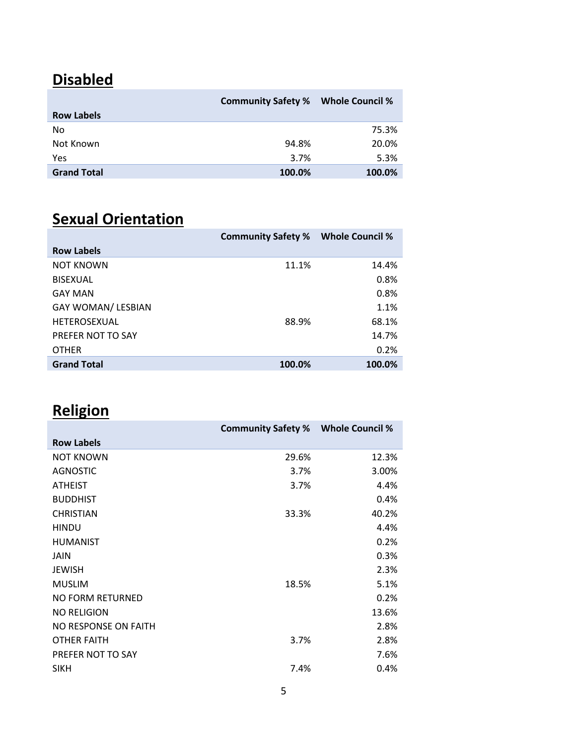# **Disabled**

|                    | <b>Community Safety %</b> | <b>Whole Council %</b> |
|--------------------|---------------------------|------------------------|
| <b>Row Labels</b>  |                           |                        |
| No                 |                           | 75.3%                  |
| Not Known          | 94.8%                     | 20.0%                  |
| <b>Yes</b>         | 3.7%                      | 5.3%                   |
| <b>Grand Total</b> | 100.0%                    | 100.0%                 |

# **Sexual Orientation**

| <b>Community Safety %</b> | <b>Whole Council %</b> |
|---------------------------|------------------------|
|                           |                        |
| 11.1%                     | 14.4%                  |
|                           | 0.8%                   |
|                           | 0.8%                   |
|                           | 1.1%                   |
| 88.9%                     | 68.1%                  |
|                           | 14.7%                  |
|                           | 0.2%                   |
| 100.0%                    | 100.0%                 |
|                           |                        |

# **Religion**

|                         | <b>Community Safety %</b> | <b>Whole Council %</b> |
|-------------------------|---------------------------|------------------------|
| <b>Row Labels</b>       |                           |                        |
| <b>NOT KNOWN</b>        | 29.6%                     | 12.3%                  |
| AGNOSTIC                | 3.7%                      | 3.00%                  |
| <b>ATHEIST</b>          | 3.7%                      | 4.4%                   |
| <b>BUDDHIST</b>         |                           | 0.4%                   |
| <b>CHRISTIAN</b>        | 33.3%                     | 40.2%                  |
| <b>HINDU</b>            |                           | 4.4%                   |
| <b>HUMANIST</b>         |                           | 0.2%                   |
| <b>JAIN</b>             |                           | 0.3%                   |
| <b>JEWISH</b>           |                           | 2.3%                   |
| <b>MUSLIM</b>           | 18.5%                     | 5.1%                   |
| <b>NO FORM RETURNED</b> |                           | 0.2%                   |
| <b>NO RELIGION</b>      |                           | 13.6%                  |
| NO RESPONSE ON FAITH    |                           | 2.8%                   |
| <b>OTHER FAITH</b>      | 3.7%                      | 2.8%                   |
| PREFER NOT TO SAY       |                           | 7.6%                   |
| <b>SIKH</b>             | 7.4%                      | 0.4%                   |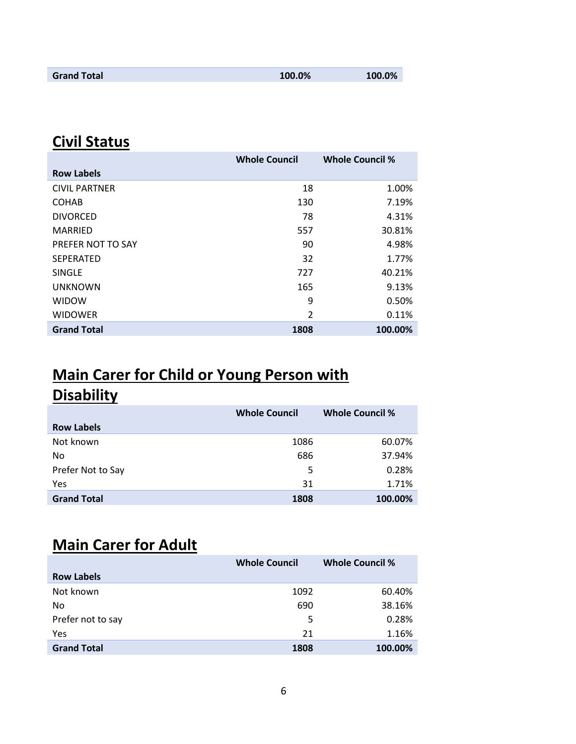| <b>Grand Total</b> | 100.0% | 100.0% |
|--------------------|--------|--------|
|                    |        |        |

# **Civil Status**

|                      | <b>Whole Council</b> | <b>Whole Council %</b> |
|----------------------|----------------------|------------------------|
| <b>Row Labels</b>    |                      |                        |
| <b>CIVIL PARTNER</b> | 18                   | 1.00%                  |
| <b>COHAB</b>         | 130                  | 7.19%                  |
| <b>DIVORCED</b>      | 78                   | 4.31%                  |
| <b>MARRIED</b>       | 557                  | 30.81%                 |
| PREFER NOT TO SAY    | 90                   | 4.98%                  |
| <b>SEPERATED</b>     | 32                   | 1.77%                  |
| <b>SINGLE</b>        | 727                  | 40.21%                 |
| <b>UNKNOWN</b>       | 165                  | 9.13%                  |
| <b>WIDOW</b>         | 9                    | 0.50%                  |
| <b>WIDOWER</b>       | $\mathfrak{p}$       | 0.11%                  |
| <b>Grand Total</b>   | 1808                 | 100.00%                |

# **Main Carer for Child or Young Person with Disability**

|                    | <b>Whole Council</b> | <b>Whole Council %</b> |
|--------------------|----------------------|------------------------|
| <b>Row Labels</b>  |                      |                        |
| Not known          | 1086                 | 60.07%                 |
| No                 | 686                  | 37.94%                 |
| Prefer Not to Say  | 5                    | 0.28%                  |
| Yes                | 31                   | 1.71%                  |
| <b>Grand Total</b> | 1808                 | 100.00%                |

# **Main Carer for Adult**

|                    | <b>Whole Council</b> | <b>Whole Council %</b> |
|--------------------|----------------------|------------------------|
| <b>Row Labels</b>  |                      |                        |
| Not known          | 1092                 | 60.40%                 |
| No                 | 690                  | 38.16%                 |
| Prefer not to say  | 5                    | 0.28%                  |
| Yes                | 21                   | 1.16%                  |
| <b>Grand Total</b> | 1808                 | 100.00%                |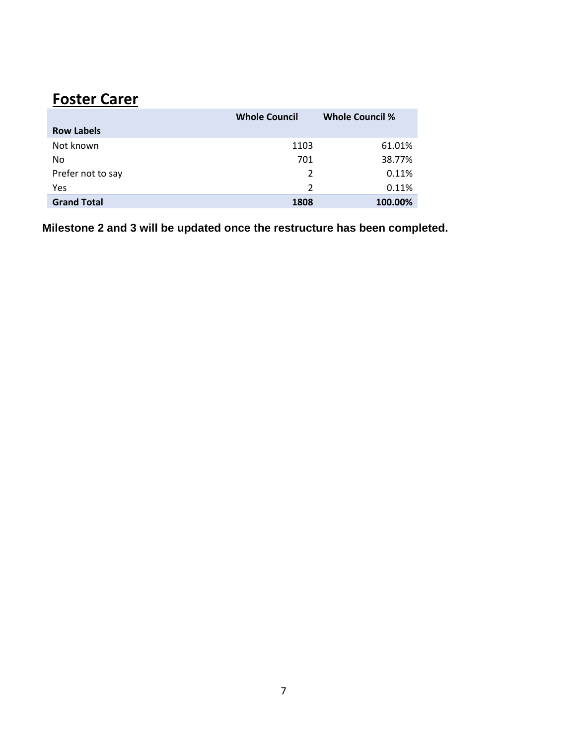# **Foster Carer**

|                    | <b>Whole Council</b> | <b>Whole Council %</b> |
|--------------------|----------------------|------------------------|
| <b>Row Labels</b>  |                      |                        |
| Not known          | 1103                 | 61.01%                 |
| No                 | 701                  | 38.77%                 |
| Prefer not to say  | 2                    | 0.11%                  |
| Yes                | $\mathcal{P}$        | 0.11%                  |
| <b>Grand Total</b> | 1808                 | 100.00%                |

**Milestone 2 and 3 will be updated once the restructure has been completed.**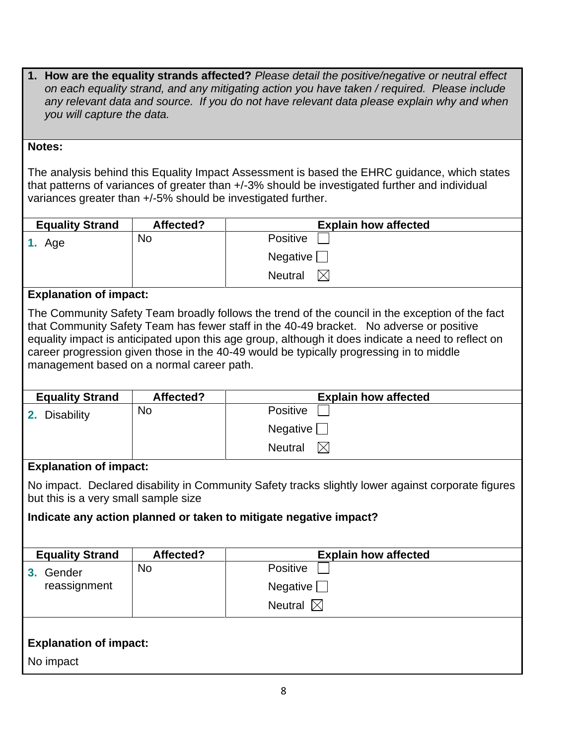**1. How are the equality strands affected?** *Please detail the positive/negative or neutral effect on each equality strand, and any mitigating action you have taken / required. Please include any relevant data and source. If you do not have relevant data please explain why and when you will capture the data.*

#### **Notes:**

The analysis behind this Equality Impact Assessment is based the EHRC guidance, which states that patterns of variances of greater than +/-3% should be investigated further and individual variances greater than +/-5% should be investigated further.

| <b>Equality Strand</b> | Affected? | <b>Explain how affected</b> |
|------------------------|-----------|-----------------------------|
| 1. Age                 | No        | <b>Positive</b>             |
|                        |           | Negative [                  |
|                        |           | <b>Neutral</b>              |

### **Explanation of impact:**

The Community Safety Team broadly follows the trend of the council in the exception of the fact that Community Safety Team has fewer staff in the 40-49 bracket. No adverse or positive equality impact is anticipated upon this age group, although it does indicate a need to reflect on career progression given those in the 40-49 would be typically progressing in to middle management based on a normal career path.

| <b>Equality Strand</b> | Affected? | <b>Explain how affected</b>    |
|------------------------|-----------|--------------------------------|
| 2. Disability          | No        | <b>Positive</b>                |
|                        |           | <b>Negative</b>                |
|                        |           | $\mathbb{X}$<br><b>Neutral</b> |

### **Explanation of impact:**

No impact. Declared disability in Community Safety tracks slightly lower against corporate figures but this is a very small sample size

### **Indicate any action planned or taken to mitigate negative impact?**

| <b>Equality Strand</b>        | Affected? | <b>Explain how affected</b> |
|-------------------------------|-----------|-----------------------------|
| Gender                        | <b>No</b> | Positive                    |
| reassignment                  |           | Negative $\Box$             |
|                               |           | Neutral $\boxtimes$         |
|                               |           |                             |
| <b>Explanation of impact:</b> |           |                             |
| No impact                     |           |                             |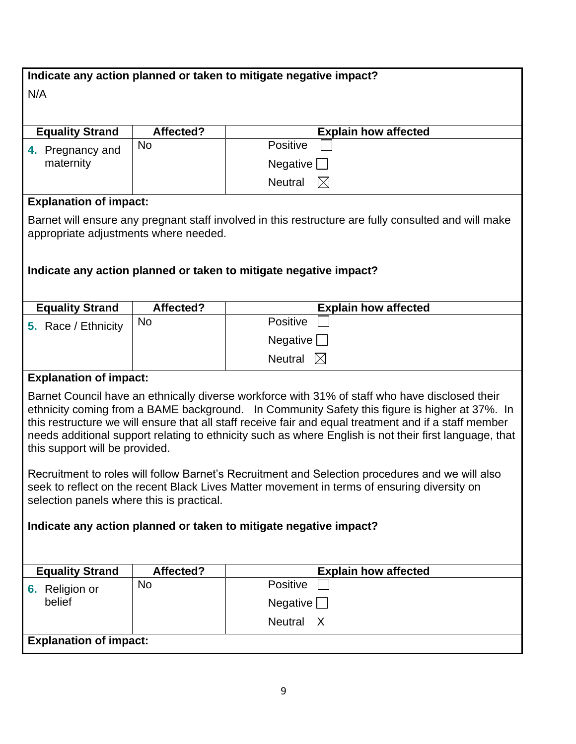| Indicate any action planned or taken to mitigate negative impact?                                                                                                                                                                                                                                                                                                                                                                                    |           |                                                                                                      |
|------------------------------------------------------------------------------------------------------------------------------------------------------------------------------------------------------------------------------------------------------------------------------------------------------------------------------------------------------------------------------------------------------------------------------------------------------|-----------|------------------------------------------------------------------------------------------------------|
| N/A                                                                                                                                                                                                                                                                                                                                                                                                                                                  |           |                                                                                                      |
|                                                                                                                                                                                                                                                                                                                                                                                                                                                      |           |                                                                                                      |
| <b>Equality Strand</b>                                                                                                                                                                                                                                                                                                                                                                                                                               | Affected? | <b>Explain how affected</b>                                                                          |
| 4. Pregnancy and                                                                                                                                                                                                                                                                                                                                                                                                                                     | <b>No</b> | Positive                                                                                             |
| maternity                                                                                                                                                                                                                                                                                                                                                                                                                                            |           | Negative                                                                                             |
|                                                                                                                                                                                                                                                                                                                                                                                                                                                      |           | <b>Neutral</b><br>$\boxtimes$                                                                        |
| <b>Explanation of impact:</b>                                                                                                                                                                                                                                                                                                                                                                                                                        |           |                                                                                                      |
|                                                                                                                                                                                                                                                                                                                                                                                                                                                      |           | Barnet will ensure any pregnant staff involved in this restructure are fully consulted and will make |
| appropriate adjustments where needed.                                                                                                                                                                                                                                                                                                                                                                                                                |           |                                                                                                      |
|                                                                                                                                                                                                                                                                                                                                                                                                                                                      |           |                                                                                                      |
|                                                                                                                                                                                                                                                                                                                                                                                                                                                      |           | Indicate any action planned or taken to mitigate negative impact?                                    |
|                                                                                                                                                                                                                                                                                                                                                                                                                                                      |           |                                                                                                      |
| <b>Equality Strand</b>                                                                                                                                                                                                                                                                                                                                                                                                                               | Affected? | <b>Explain how affected</b>                                                                          |
| 5. Race / Ethnicity                                                                                                                                                                                                                                                                                                                                                                                                                                  | <b>No</b> | Positive                                                                                             |
|                                                                                                                                                                                                                                                                                                                                                                                                                                                      |           | Negative                                                                                             |
|                                                                                                                                                                                                                                                                                                                                                                                                                                                      |           | Neutral<br>$\mathbb{X}$                                                                              |
| <b>Explanation of impact:</b>                                                                                                                                                                                                                                                                                                                                                                                                                        |           |                                                                                                      |
| Barnet Council have an ethnically diverse workforce with 31% of staff who have disclosed their<br>ethnicity coming from a BAME background. In Community Safety this figure is higher at 37%. In<br>this restructure we will ensure that all staff receive fair and equal treatment and if a staff member<br>needs additional support relating to ethnicity such as where English is not their first language, that<br>this support will be provided. |           |                                                                                                      |
| Recruitment to roles will follow Barnet's Recruitment and Selection procedures and we will also<br>seek to reflect on the recent Black Lives Matter movement in terms of ensuring diversity on<br>selection panels where this is practical.                                                                                                                                                                                                          |           |                                                                                                      |
| Indicate any action planned or taken to mitigate negative impact?                                                                                                                                                                                                                                                                                                                                                                                    |           |                                                                                                      |
|                                                                                                                                                                                                                                                                                                                                                                                                                                                      |           |                                                                                                      |
|                                                                                                                                                                                                                                                                                                                                                                                                                                                      |           |                                                                                                      |
| <b>Equality Strand</b>                                                                                                                                                                                                                                                                                                                                                                                                                               | Affected? | <b>Explain how affected</b>                                                                          |
| 6. Religion or<br>belief                                                                                                                                                                                                                                                                                                                                                                                                                             | <b>No</b> | Positive                                                                                             |
|                                                                                                                                                                                                                                                                                                                                                                                                                                                      |           | Negative                                                                                             |
|                                                                                                                                                                                                                                                                                                                                                                                                                                                      |           | Neutral X                                                                                            |
| <b>Explanation of impact:</b>                                                                                                                                                                                                                                                                                                                                                                                                                        |           |                                                                                                      |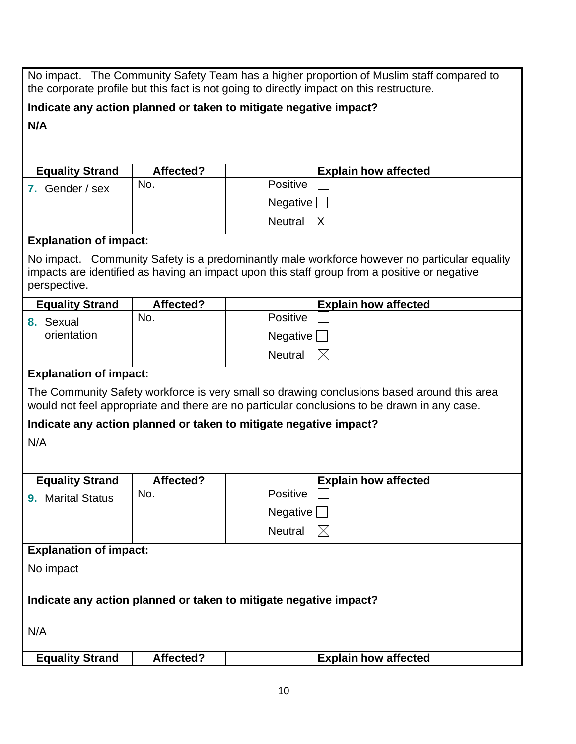| No impact. The Community Safety Team has a higher proportion of Muslim staff compared to<br>the corporate profile but this fact is not going to directly impact on this restructure.                         |           |                                                                   |
|--------------------------------------------------------------------------------------------------------------------------------------------------------------------------------------------------------------|-----------|-------------------------------------------------------------------|
|                                                                                                                                                                                                              |           | Indicate any action planned or taken to mitigate negative impact? |
| N/A                                                                                                                                                                                                          |           |                                                                   |
|                                                                                                                                                                                                              |           |                                                                   |
| <b>Equality Strand</b>                                                                                                                                                                                       | Affected? | <b>Explain how affected</b>                                       |
| 7. Gender / sex                                                                                                                                                                                              | No.       | Positive                                                          |
|                                                                                                                                                                                                              |           | Negative                                                          |
|                                                                                                                                                                                                              |           | Neutral X                                                         |
| <b>Explanation of impact:</b>                                                                                                                                                                                |           |                                                                   |
| No impact. Community Safety is a predominantly male workforce however no particular equality<br>impacts are identified as having an impact upon this staff group from a positive or negative<br>perspective. |           |                                                                   |
| <b>Equality Strand</b>                                                                                                                                                                                       | Affected? | <b>Explain how affected</b>                                       |
| 8. Sexual                                                                                                                                                                                                    | No.       | Positive                                                          |
| orientation                                                                                                                                                                                                  |           | Negative                                                          |
|                                                                                                                                                                                                              |           | <b>Neutral</b><br>$\boxtimes$                                     |
| <b>Explanation of impact:</b>                                                                                                                                                                                |           |                                                                   |
| The Community Safety workforce is very small so drawing conclusions based around this area<br>would not feel appropriate and there are no particular conclusions to be drawn in any case.                    |           |                                                                   |
|                                                                                                                                                                                                              |           | Indicate any action planned or taken to mitigate negative impact? |
| N/A                                                                                                                                                                                                          |           |                                                                   |
|                                                                                                                                                                                                              |           |                                                                   |
| <b>Equality Strand</b>                                                                                                                                                                                       | Affected? | <b>Explain how affected</b>                                       |
| 9. Marital Status                                                                                                                                                                                            | No.       | Positive                                                          |
|                                                                                                                                                                                                              |           | Negative [                                                        |
|                                                                                                                                                                                                              |           | Neutral<br>$\boxtimes$                                            |
| <b>Explanation of impact:</b>                                                                                                                                                                                |           |                                                                   |
| No impact                                                                                                                                                                                                    |           |                                                                   |
|                                                                                                                                                                                                              |           |                                                                   |
| Indicate any action planned or taken to mitigate negative impact?                                                                                                                                            |           |                                                                   |
| N/A                                                                                                                                                                                                          |           |                                                                   |
| <b>Equality Strand</b>                                                                                                                                                                                       | Affected? | <b>Explain how affected</b>                                       |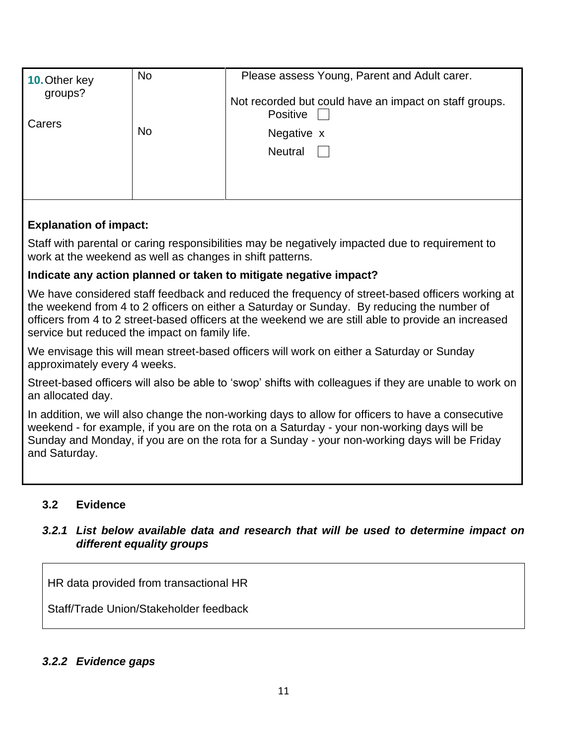| <b>10. Other key</b><br>groups? | <b>No</b> | Please assess Young, Parent and Adult carer.                              |
|---------------------------------|-----------|---------------------------------------------------------------------------|
| Carers<br>No                    |           | Not recorded but could have an impact on staff groups.<br><b>Positive</b> |
|                                 |           | Negative x                                                                |
|                                 |           | <b>Neutral</b>                                                            |
|                                 |           |                                                                           |
|                                 |           |                                                                           |

### **Explanation of impact:**

Staff with parental or caring responsibilities may be negatively impacted due to requirement to work at the weekend as well as changes in shift patterns.

### **Indicate any action planned or taken to mitigate negative impact?**

We have considered staff feedback and reduced the frequency of street-based officers working at the weekend from 4 to 2 officers on either a Saturday or Sunday. By reducing the number of officers from 4 to 2 street-based officers at the weekend we are still able to provide an increased service but reduced the impact on family life.

We envisage this will mean street-based officers will work on either a Saturday or Sunday approximately every 4 weeks.

Street-based officers will also be able to 'swop' shifts with colleagues if they are unable to work on an allocated day.

In addition, we will also change the non-working days to allow for officers to have a consecutive weekend - for example, if you are on the rota on a Saturday - your non-working days will be Sunday and Monday, if you are on the rota for a Sunday - your non-working days will be Friday and Saturday.

### **3.2 Evidence**

### *3.2.1 List below available data and research that will be used to determine impact on different equality groups*

HR data provided from transactional HR

Staff/Trade Union/Stakeholder feedback

#### *3.2.2 Evidence gaps*